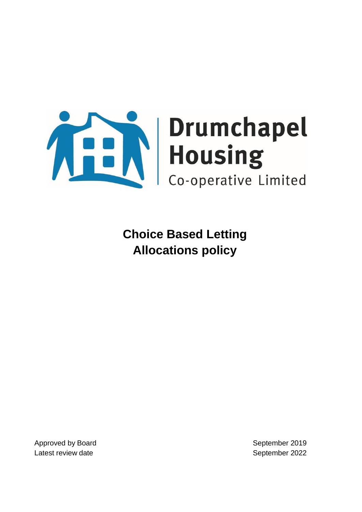

**Choice Based Letting Allocations policy**

Approved by Board **September 2019** Latest review date **September 2022**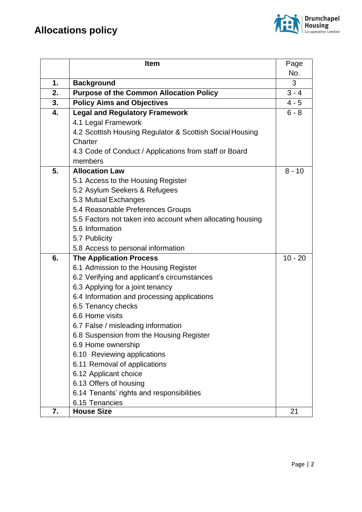

|    | <b>Item</b>                                                | Page      |
|----|------------------------------------------------------------|-----------|
|    |                                                            | No.       |
| 1. | <b>Background</b>                                          | 3         |
| 2. | <b>Purpose of the Common Allocation Policy</b>             | $3 - 4$   |
| 3. | <b>Policy Aims and Objectives</b>                          | $4 - 5$   |
| 4. | <b>Legal and Regulatory Framework</b>                      | $6 - 8$   |
|    | 4.1 Legal Framework                                        |           |
|    | 4.2 Scottish Housing Regulator & Scottish Social Housing   |           |
|    | Charter                                                    |           |
|    | 4.3 Code of Conduct / Applications from staff or Board     |           |
|    | members                                                    |           |
| 5. | <b>Allocation Law</b>                                      | $8 - 10$  |
|    | 5.1 Access to the Housing Register                         |           |
|    | 5.2 Asylum Seekers & Refugees                              |           |
|    | 5.3 Mutual Exchanges                                       |           |
|    | 5.4 Reasonable Preferences Groups                          |           |
|    | 5.5 Factors not taken into account when allocating housing |           |
|    | 5.6 Information                                            |           |
|    | 5.7 Publicity                                              |           |
|    | 5.8 Access to personal information                         |           |
| 6. | <b>The Application Process</b>                             | $10 - 20$ |
|    | 6.1 Admission to the Housing Register                      |           |
|    | 6.2 Verifying and applicant's circumstances                |           |
|    | 6.3 Applying for a joint tenancy                           |           |
|    | 6.4 Information and processing applications                |           |
|    | 6.5 Tenancy checks                                         |           |
|    | 6.6 Home visits                                            |           |
|    | 6.7 False / misleading information                         |           |
|    | 6.8 Suspension from the Housing Register                   |           |
|    | 6.9 Home ownership                                         |           |
|    | 6.10 Reviewing applications                                |           |
|    | 6.11 Removal of applications                               |           |
|    | 6.12 Applicant choice                                      |           |
|    | 6.13 Offers of housing                                     |           |
|    | 6.14 Tenants' rights and responsibilities                  |           |
|    | 6.15 Tenancies                                             |           |
| 7. | <b>House Size</b>                                          | 21        |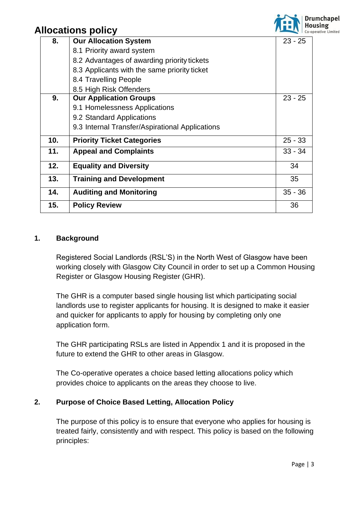

| 8.  | <b>Our Allocation System</b>                    | $23 - 25$ |
|-----|-------------------------------------------------|-----------|
|     | 8.1 Priority award system                       |           |
|     | 8.2 Advantages of awarding priority tickets     |           |
|     | 8.3 Applicants with the same priority ticket    |           |
|     | 8.4 Travelling People                           |           |
|     | 8.5 High Risk Offenders                         |           |
| 9.  | <b>Our Application Groups</b>                   | $23 - 25$ |
|     | 9.1 Homelessness Applications                   |           |
|     | 9.2 Standard Applications                       |           |
|     | 9.3 Internal Transfer/Aspirational Applications |           |
| 10. | <b>Priority Ticket Categories</b>               | $25 - 33$ |
| 11. | <b>Appeal and Complaints</b>                    | $33 - 34$ |
| 12. | <b>Equality and Diversity</b>                   | 34        |
| 13. | <b>Training and Development</b>                 | 35        |
| 14. | <b>Auditing and Monitoring</b>                  | $35 - 36$ |
| 15. | <b>Policy Review</b>                            | 36        |

### **1. Background**

Registered Social Landlords (RSL'S) in the North West of Glasgow have been working closely with Glasgow City Council in order to set up a Common Housing Register or Glasgow Housing Register (GHR).

The GHR is a computer based single housing list which participating social landlords use to register applicants for housing. It is designed to make it easier and quicker for applicants to apply for housing by completing only one application form.

The GHR participating RSLs are listed in Appendix 1 and it is proposed in the future to extend the GHR to other areas in Glasgow.

The Co-operative operates a choice based letting allocations policy which provides choice to applicants on the areas they choose to live.

### **2. Purpose of Choice Based Letting, Allocation Policy**

The purpose of this policy is to ensure that everyone who applies for housing is treated fairly, consistently and with respect. This policy is based on the following principles: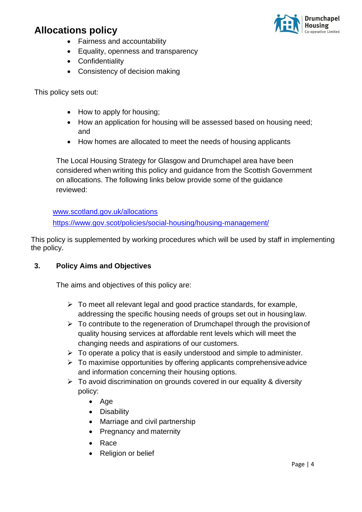

- Fairness and accountability
- Equality, openness and transparency
- Confidentiality
- Consistency of decision making

This policy sets out:

- How to apply for housing;
- How an application for housing will be assessed based on housing need; and
- How homes are allocated to meet the needs of housing applicants

The Local Housing Strategy for Glasgow and Drumchapel area have been considered when writing this policy and guidance from the Scottish Government on allocations. The following links below provide some of the guidance reviewed:

[www.scotland.gov.uk/allocations](http://www.scotland.gov.uk/allocations) <https://www.gov.scot/policies/social-housing/housing-management/>

This policy is supplemented by working procedures which will be used by staff in implementing the policy.

### **3. Policy Aims and Objectives**

The aims and objectives of this policy are:

- ➢ To meet all relevant legal and good practice standards, for example, addressing the specific housing needs of groups set out in housinglaw.
- $\triangleright$  To contribute to the regeneration of Drumchapel through the provision of quality housing services at affordable rent levels which will meet the changing needs and aspirations of our customers.
- $\triangleright$  To operate a policy that is easily understood and simple to administer.
- $\triangleright$  To maximise opportunities by offering applicants comprehensive advice and information concerning their housing options.
- ➢ To avoid discrimination on grounds covered in our equality & diversity policy:
	- Age
	- Disability
	- Marriage and civil partnership
	- Pregnancy and maternity
	- Race
	- Religion or belief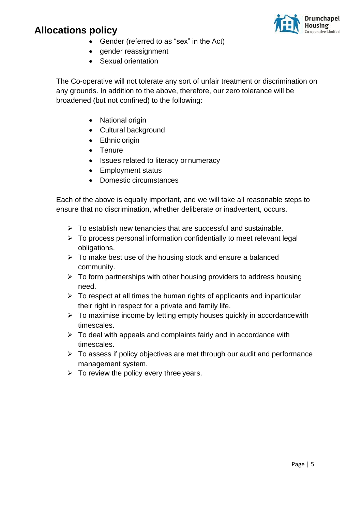

- Gender (referred to as "sex" in the Act)
- gender reassignment
- Sexual orientation

The Co-operative will not tolerate any sort of unfair treatment or discrimination on any grounds. In addition to the above, therefore, our zero tolerance will be broadened (but not confined) to the following:

- National origin
- Cultural background
- Ethnic origin
- Tenure
- Issues related to literacy or numeracy
- Employment status
- Domestic circumstances

Each of the above is equally important, and we will take all reasonable steps to ensure that no discrimination, whether deliberate or inadvertent, occurs.

- $\triangleright$  To establish new tenancies that are successful and sustainable.
- ➢ To process personal information confidentially to meet relevant legal obligations.
- $\triangleright$  To make best use of the housing stock and ensure a balanced community.
- $\triangleright$  To form partnerships with other housing providers to address housing need.
- $\triangleright$  To respect at all times the human rights of applicants and inparticular their right in respect for a private and family life.
- $\triangleright$  To maximise income by letting empty houses quickly in accordance with timescales.
- $\triangleright$  To deal with appeals and complaints fairly and in accordance with timescales.
- $\triangleright$  To assess if policy objectives are met through our audit and performance management system.
- $\triangleright$  To review the policy every three years.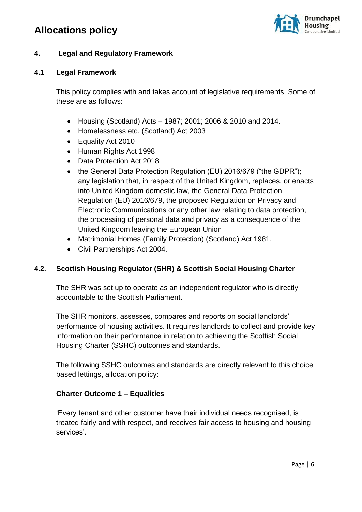

### **4. Legal and Regulatory Framework**

#### **4.1 Legal Framework**

This policy complies with and takes account of legislative requirements. Some of these are as follows:

- Housing (Scotland) Acts 1987; 2001; 2006 & 2010 and 2014.
- Homelessness etc. (Scotland) Act 2003
- Equality Act 2010
- Human Rights Act 1998
- Data Protection Act 2018
- the General Data Protection Regulation (EU) 2016/679 ("the GDPR"); any legislation that, in respect of the United Kingdom, replaces, or enacts into United Kingdom domestic law, the General Data Protection Regulation (EU) 2016/679, the proposed Regulation on Privacy and Electronic Communications or any other law relating to data protection, the processing of personal data and privacy as a consequence of the United Kingdom leaving the European Union
- Matrimonial Homes (Family Protection) (Scotland) Act 1981.
- Civil Partnerships Act 2004.

### **4.2. Scottish Housing Regulator (SHR) & Scottish Social Housing Charter**

The SHR was set up to operate as an independent regulator who is directly accountable to the Scottish Parliament.

The SHR monitors, assesses, compares and reports on social landlords' performance of housing activities. It requires landlords to collect and provide key information on their performance in relation to achieving the Scottish Social Housing Charter (SSHC) outcomes and standards.

The following SSHC outcomes and standards are directly relevant to this choice based lettings, allocation policy:

### **Charter Outcome 1 – Equalities**

'Every tenant and other customer have their individual needs recognised, is treated fairly and with respect, and receives fair access to housing and housing services'.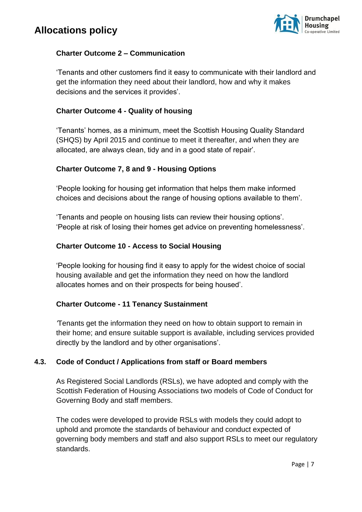

### **Charter Outcome 2 – Communication**

'Tenants and other customers find it easy to communicate with their landlord and get the information they need about their landlord, how and why it makes decisions and the services it provides'.

### **Charter Outcome 4 - Quality of housing**

'Tenants' homes, as a minimum, meet the Scottish Housing Quality Standard (SHQS) by April 2015 and continue to meet it thereafter, and when they are allocated, are always clean, tidy and in a good state of repair'.

### **Charter Outcome 7, 8 and 9 - Housing Options**

'People looking for housing get information that helps them make informed choices and decisions about the range of housing options available to them'.

'Tenants and people on housing lists can review their housing options'. 'People at risk of losing their homes get advice on preventing homelessness'.

### **Charter Outcome 10 - Access to Social Housing**

'People looking for housing find it easy to apply for the widest choice of social housing available and get the information they need on how the landlord allocates homes and on their prospects for being housed'.

### **Charter Outcome - 11 Tenancy Sustainment**

*'*Tenants get the information they need on how to obtain support to remain in their home; and ensure suitable support is available, including services provided directly by the landlord and by other organisations'.

### **4.3. Code of Conduct / Applications from staff or Board members**

As Registered Social Landlords (RSLs), we have adopted and comply with the Scottish Federation of Housing Associations two models of Code of Conduct for Governing Body and staff members.

The codes were developed to provide RSLs with models they could adopt to uphold and promote the standards of behaviour and conduct expected of governing body members and staff and also support RSLs to meet our regulatory standards.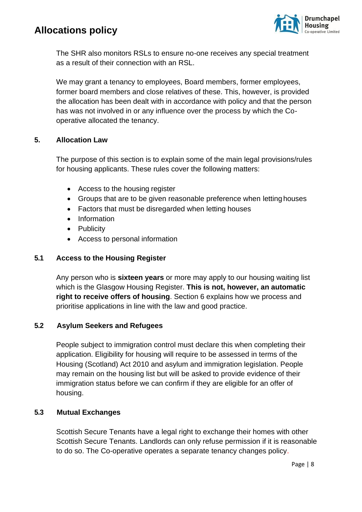

The SHR also monitors RSLs to ensure no-one receives any special treatment as a result of their connection with an RSL.

We may grant a tenancy to employees, Board members, former employees, former board members and close relatives of these. This, however, is provided the allocation has been dealt with in accordance with policy and that the person has was not involved in or any influence over the process by which the Cooperative allocated the tenancy.

### **5. Allocation Law**

The purpose of this section is to explain some of the main legal provisions/rules for housing applicants. These rules cover the following matters:

- Access to the housing register
- Groups that are to be given reasonable preference when letting houses
- Factors that must be disregarded when letting houses
- Information
- Publicity
- Access to personal information

### **5.1 Access to the Housing Register**

Any person who is **sixteen years** or more may apply to our housing waiting list which is the Glasgow Housing Register. **This is not, however, an automatic right to receive offers of housing**. Section 6 explains how we process and prioritise applications in line with the law and good practice.

### **5.2 Asylum Seekers and Refugees**

People subject to immigration control must declare this when completing their application. Eligibility for housing will require to be assessed in terms of the Housing (Scotland) Act 2010 and asylum and immigration legislation. People may remain on the housing list but will be asked to provide evidence of their immigration status before we can confirm if they are eligible for an offer of housing.

### **5.3 Mutual Exchanges**

Scottish Secure Tenants have a legal right to exchange their homes with other Scottish Secure Tenants. Landlords can only refuse permission if it is reasonable to do so. The Co-operative operates a separate tenancy changes policy.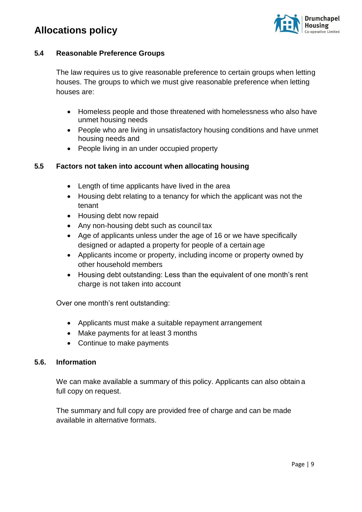

### **5.4 Reasonable Preference Groups**

The law requires us to give reasonable preference to certain groups when letting houses. The groups to which we must give reasonable preference when letting houses are:

- Homeless people and those threatened with homelessness who also have unmet housing needs
- People who are living in unsatisfactory housing conditions and have unmet housing needs and
- People living in an under occupied property

### **5.5 Factors not taken into account when allocating housing**

- Length of time applicants have lived in the area
- Housing debt relating to a tenancy for which the applicant was not the tenant
- Housing debt now repaid
- Any non-housing debt such as council tax
- Age of applicants unless under the age of 16 or we have specifically designed or adapted a property for people of a certain age
- Applicants income or property, including income or property owned by other household members
- Housing debt outstanding: Less than the equivalent of one month's rent charge is not taken into account

Over one month's rent outstanding:

- Applicants must make a suitable repayment arrangement
- Make payments for at least 3 months
- Continue to make payments

### **5.6. Information**

We can make available a summary of this policy. Applicants can also obtain a full copy on request.

The summary and full copy are provided free of charge and can be made available in alternative formats.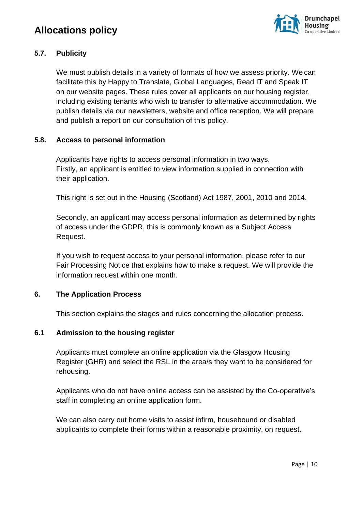

### **5.7. Publicity**

We must publish details in a variety of formats of how we assess priority. We can facilitate this by Happy to Translate, Global Languages, Read IT and Speak IT on our website pages. These rules cover all applicants on our housing register, including existing tenants who wish to transfer to alternative accommodation. We publish details via our newsletters, website and office reception. We will prepare and publish a report on our consultation of this policy.

### **5.8. Access to personal information**

Applicants have rights to access personal information in two ways. Firstly, an applicant is entitled to view information supplied in connection with their application.

This right is set out in the Housing (Scotland) Act 1987, 2001, 2010 and 2014.

Secondly, an applicant may access personal information as determined by rights of access under the GDPR, this is commonly known as a Subject Access Request.

If you wish to request access to your personal information, please refer to our Fair Processing Notice that explains how to make a request. We will provide the information request within one month.

### **6. The Application Process**

This section explains the stages and rules concerning the allocation process.

### **6.1 Admission to the housing register**

Applicants must complete an online application via the Glasgow Housing Register (GHR) and select the RSL in the area/s they want to be considered for rehousing.

Applicants who do not have online access can be assisted by the Co-operative's staff in completing an online application form.

We can also carry out home visits to assist infirm, housebound or disabled applicants to complete their forms within a reasonable proximity, on request.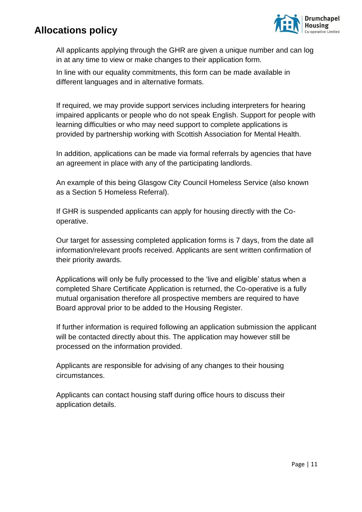

All applicants applying through the GHR are given a unique number and can log in at any time to view or make changes to their application form.

In line with our equality commitments, this form can be made available in different languages and in alternative formats.

If required, we may provide support services including interpreters for hearing impaired applicants or people who do not speak English. Support for people with learning difficulties or who may need support to complete applications is provided by partnership working with Scottish Association for Mental Health.

In addition, applications can be made via formal referrals by agencies that have an agreement in place with any of the participating landlords.

An example of this being Glasgow City Council Homeless Service (also known as a Section 5 Homeless Referral).

If GHR is suspended applicants can apply for housing directly with the Cooperative.

Our target for assessing completed application forms is 7 days, from the date all information/relevant proofs received. Applicants are sent written confirmation of their priority awards.

Applications will only be fully processed to the 'live and eligible' status when a completed Share Certificate Application is returned, the Co-operative is a fully mutual organisation therefore all prospective members are required to have Board approval prior to be added to the Housing Register.

If further information is required following an application submission the applicant will be contacted directly about this. The application may however still be processed on the information provided.

Applicants are responsible for advising of any changes to their housing circumstances.

Applicants can contact housing staff during office hours to discuss their application details.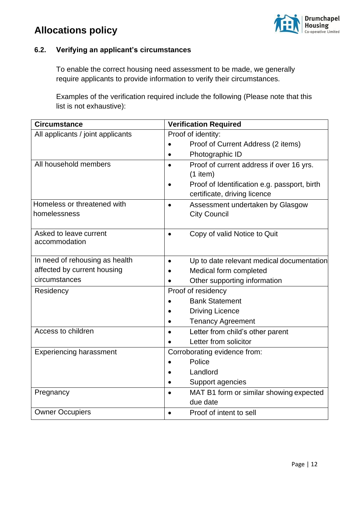



### **6.2. Verifying an applicant's circumstances**

To enable the correct housing need assessment to be made, we generally require applicants to provide information to verify their circumstances.

Examples of the verification required include the following (Please note that this list is not exhaustive):

| <b>Circumstance</b>                     | <b>Verification Required</b>                  |
|-----------------------------------------|-----------------------------------------------|
| All applicants / joint applicants       | Proof of identity:                            |
|                                         | Proof of Current Address (2 items)            |
|                                         | Photographic ID                               |
| All household members                   | Proof of current address if over 16 yrs.      |
|                                         | $(1$ item)                                    |
|                                         | Proof of Identification e.g. passport, birth  |
|                                         | certificate, driving licence                  |
| Homeless or threatened with             | Assessment undertaken by Glasgow<br>$\bullet$ |
| homelessness                            | <b>City Council</b>                           |
|                                         |                                               |
| Asked to leave current<br>accommodation | Copy of valid Notice to Quit<br>$\bullet$     |
|                                         |                                               |
| In need of rehousing as health          | Up to date relevant medical documentation     |
| affected by current housing             | Medical form completed                        |
| circumstances                           | Other supporting information                  |
| Residency                               | Proof of residency                            |
|                                         | <b>Bank Statement</b>                         |
|                                         | <b>Driving Licence</b>                        |
|                                         | <b>Tenancy Agreement</b>                      |
| Access to children                      | Letter from child's other parent              |
|                                         | Letter from solicitor                         |
| <b>Experiencing harassment</b>          | Corroborating evidence from:                  |
|                                         | Police                                        |
|                                         | Landlord                                      |
|                                         | Support agencies                              |
| Pregnancy                               | MAT B1 form or similar showing expected       |
|                                         | due date                                      |
| <b>Owner Occupiers</b>                  | Proof of intent to sell                       |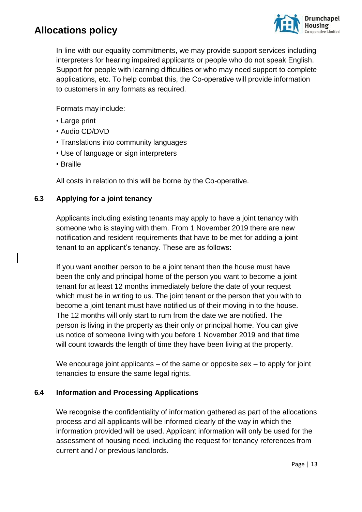

In line with our equality commitments, we may provide support services including interpreters for hearing impaired applicants or people who do not speak English. Support for people with learning difficulties or who may need support to complete applications, etc. To help combat this, the Co-operative will provide information to customers in any formats as required.

Formats may include:

- Large print
- Audio CD/DVD
- Translations into community languages
- Use of language or sign interpreters
- Braille

All costs in relation to this will be borne by the Co-operative.

### **6.3 Applying for a joint tenancy**

Applicants including existing tenants may apply to have a joint tenancy with someone who is staying with them. From 1 November 2019 there are new notification and resident requirements that have to be met for adding a joint tenant to an applicant's tenancy. These are as follows:

If you want another person to be a joint tenant then the house must have been the only and principal home of the person you want to become a joint tenant for at least 12 months immediately before the date of your request which must be in writing to us. The joint tenant or the person that you with to become a joint tenant must have notified us of their moving in to the house. The 12 months will only start to rum from the date we are notified. The person is living in the property as their only or principal home. You can give us notice of someone living with you before 1 November 2019 and that time will count towards the length of time they have been living at the property.

We encourage joint applicants – of the same or opposite sex – to apply for joint tenancies to ensure the same legal rights.

### **6.4 Information and Processing Applications**

We recognise the confidentiality of information gathered as part of the allocations process and all applicants will be informed clearly of the way in which the information provided will be used. Applicant information will only be used for the assessment of housing need, including the request for tenancy references from current and / or previous landlords.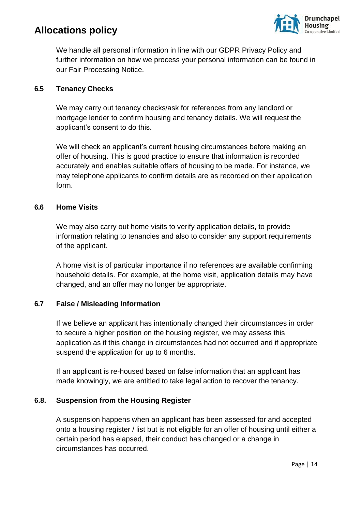

We handle all personal information in line with our GDPR Privacy Policy and further information on how we process your personal information can be found in our Fair Processing Notice.

### **6.5 Tenancy Checks**

We may carry out tenancy checks/ask for references from any landlord or mortgage lender to confirm housing and tenancy details. We will request the applicant's consent to do this.

We will check an applicant's current housing circumstances before making an offer of housing. This is good practice to ensure that information is recorded accurately and enables suitable offers of housing to be made. For instance, we may telephone applicants to confirm details are as recorded on their application form.

### **6.6 Home Visits**

We may also carry out home visits to verify application details, to provide information relating to tenancies and also to consider any support requirements of the applicant.

A home visit is of particular importance if no references are available confirming household details. For example, at the home visit, application details may have changed, and an offer may no longer be appropriate.

### **6.7 False / Misleading Information**

If we believe an applicant has intentionally changed their circumstances in order to secure a higher position on the housing register, we may assess this application as if this change in circumstances had not occurred and if appropriate suspend the application for up to 6 months.

If an applicant is re-housed based on false information that an applicant has made knowingly, we are entitled to take legal action to recover the tenancy.

### **6.8. Suspension from the Housing Register**

A suspension happens when an applicant has been assessed for and accepted onto a housing register / list but is not eligible for an offer of housing until either a certain period has elapsed, their conduct has changed or a change in circumstances has occurred.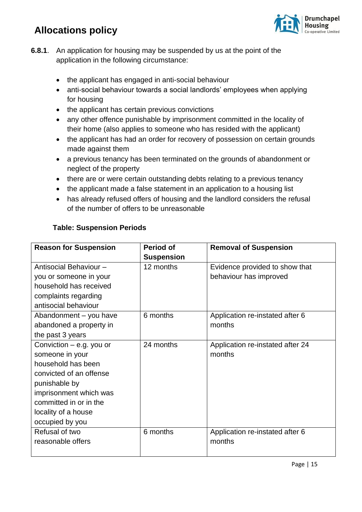

- **6.8.1**. An application for housing may be suspended by us at the point of the application in the following circumstance:
	- the applicant has engaged in anti-social behaviour
	- anti-social behaviour towards a social landlords' employees when applying for housing
	- the applicant has certain previous convictions
	- any other offence punishable by imprisonment committed in the locality of their home (also applies to someone who has resided with the applicant)
	- the applicant has had an order for recovery of possession on certain grounds made against them
	- a previous tenancy has been terminated on the grounds of abandonment or neglect of the property
	- there are or were certain outstanding debts relating to a previous tenancy
	- the applicant made a false statement in an application to a housing list
	- has already refused offers of housing and the landlord considers the refusal of the number of offers to be unreasonable

### **Table: Suspension Periods**

| <b>Reason for Suspension</b> | <b>Period of</b>  | <b>Removal of Suspension</b>     |
|------------------------------|-------------------|----------------------------------|
|                              | <b>Suspension</b> |                                  |
| Antisocial Behaviour -       | 12 months         | Evidence provided to show that   |
| you or someone in your       |                   | behaviour has improved           |
| household has received       |                   |                                  |
| complaints regarding         |                   |                                  |
| antisocial behaviour         |                   |                                  |
| Abandonment - you have       | 6 months          | Application re-instated after 6  |
| abandoned a property in      |                   | months                           |
| the past 3 years             |                   |                                  |
| Conviction – e.g. you or     | 24 months         | Application re-instated after 24 |
| someone in your              |                   | months                           |
| household has been           |                   |                                  |
| convicted of an offense      |                   |                                  |
| punishable by                |                   |                                  |
| imprisonment which was       |                   |                                  |
| committed in or in the       |                   |                                  |
| locality of a house          |                   |                                  |
| occupied by you              |                   |                                  |
| Refusal of two               | 6 months          | Application re-instated after 6  |
| reasonable offers            |                   | months                           |
|                              |                   |                                  |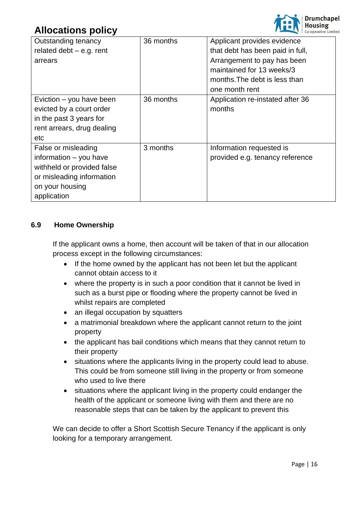

| Outstanding tenancy        | 36 months | Applicant provides evidence      |
|----------------------------|-----------|----------------------------------|
| related debt $-$ e.g. rent |           | that debt has been paid in full, |
| arrears                    |           | Arrangement to pay has been      |
|                            |           | maintained for 13 weeks/3        |
|                            |           | months. The debt is less than    |
|                            |           | one month rent                   |
| Eviction – you have been   | 36 months | Application re-instated after 36 |
| evicted by a court order   |           | months                           |
| in the past 3 years for    |           |                                  |
| rent arrears, drug dealing |           |                                  |
| etc                        |           |                                  |
| False or misleading        | 3 months  | Information requested is         |
| information - you have     |           | provided e.g. tenancy reference  |
| withheld or provided false |           |                                  |
| or misleading information  |           |                                  |
| on your housing            |           |                                  |
| application                |           |                                  |

### **6.9 Home Ownership**

If the applicant owns a home, then account will be taken of that in our allocation process except in the following circumstances:

- If the home owned by the applicant has not been let but the applicant cannot obtain access to it
- where the property is in such a poor condition that it cannot be lived in such as a burst pipe or flooding where the property cannot be lived in whilst repairs are completed
- an illegal occupation by squatters
- a matrimonial breakdown where the applicant cannot return to the joint property
- the applicant has bail conditions which means that they cannot return to their property
- situations where the applicants living in the property could lead to abuse. This could be from someone still living in the property or from someone who used to live there
- situations where the applicant living in the property could endanger the health of the applicant or someone living with them and there are no reasonable steps that can be taken by the applicant to prevent this

We can decide to offer a Short Scottish Secure Tenancy if the applicant is only looking for a temporary arrangement.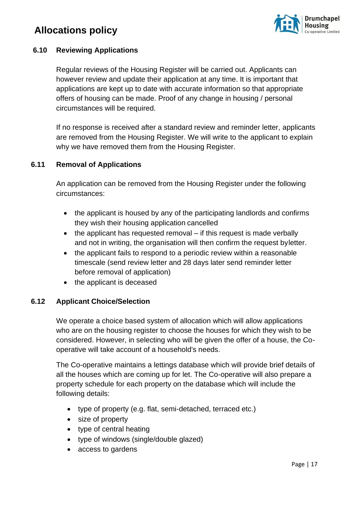

### **6.10 Reviewing Applications**

Regular reviews of the Housing Register will be carried out. Applicants can however review and update their application at any time. It is important that applications are kept up to date with accurate information so that appropriate offers of housing can be made. Proof of any change in housing / personal circumstances will be required.

If no response is received after a standard review and reminder letter, applicants are removed from the Housing Register. We will write to the applicant to explain why we have removed them from the Housing Register.

### **6.11 Removal of Applications**

An application can be removed from the Housing Register under the following circumstances:

- the applicant is housed by any of the participating landlords and confirms they wish their housing application cancelled
- the applicant has requested removal if this request is made verbally and not in writing, the organisation will then confirm the request byletter.
- the applicant fails to respond to a periodic review within a reasonable timescale (send review letter and 28 days later send reminder letter before removal of application)
- the applicant is deceased

### **6.12 Applicant Choice/Selection**

We operate a choice based system of allocation which will allow applications who are on the housing register to choose the houses for which they wish to be considered. However, in selecting who will be given the offer of a house, the Cooperative will take account of a household's needs.

The Co-operative maintains a lettings database which will provide brief details of all the houses which are coming up for let. The Co-operative will also prepare a property schedule for each property on the database which will include the following details:

- type of property (e.g. flat, semi-detached, terraced etc.)
- size of property
- type of central heating
- type of windows (single/double glazed)
- access to gardens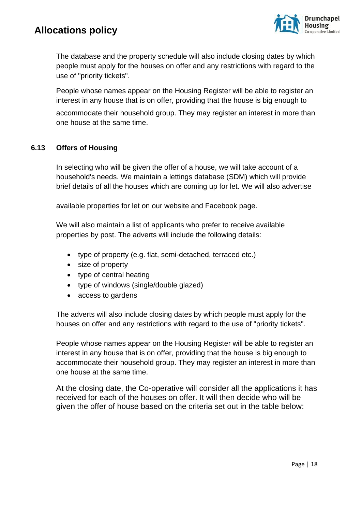

The database and the property schedule will also include closing dates by which people must apply for the houses on offer and any restrictions with regard to the use of "priority tickets".

People whose names appear on the Housing Register will be able to register an interest in any house that is on offer, providing that the house is big enough to

accommodate their household group. They may register an interest in more than one house at the same time.

### **6.13 Offers of Housing**

In selecting who will be given the offer of a house, we will take account of a household's needs. We maintain a lettings database (SDM) which will provide brief details of all the houses which are coming up for let. We will also advertise

available properties for let on our website and Facebook page.

We will also maintain a list of applicants who prefer to receive available properties by post. The adverts will include the following details:

- type of property (e.g. flat, semi-detached, terraced etc.)
- size of property
- type of central heating
- type of windows (single/double glazed)
- access to gardens

The adverts will also include closing dates by which people must apply for the houses on offer and any restrictions with regard to the use of "priority tickets".

People whose names appear on the Housing Register will be able to register an interest in any house that is on offer, providing that the house is big enough to accommodate their household group. They may register an interest in more than one house at the same time.

At the closing date, the Co-operative will consider all the applications it has received for each of the houses on offer. It will then decide who will be given the offer of house based on the criteria set out in the table below: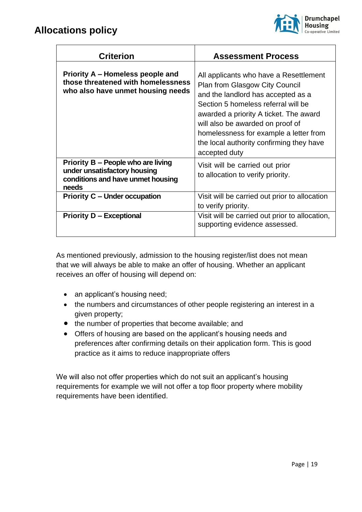

| <b>Criterion</b>                                                                                                 | <b>Assessment Process</b>                                                                                                                                                                                                                                                                                                                         |
|------------------------------------------------------------------------------------------------------------------|---------------------------------------------------------------------------------------------------------------------------------------------------------------------------------------------------------------------------------------------------------------------------------------------------------------------------------------------------|
| Priority A – Homeless people and<br>those threatened with homelessness<br>who also have unmet housing needs      | All applicants who have a Resettlement<br><b>Plan from Glasgow City Council</b><br>and the landlord has accepted as a<br>Section 5 homeless referral will be<br>awarded a priority A ticket. The award<br>will also be awarded on proof of<br>homelessness for example a letter from<br>the local authority confirming they have<br>accepted duty |
| Priority B – People who are living<br>under unsatisfactory housing<br>conditions and have unmet housing<br>needs | Visit will be carried out prior<br>to allocation to verify priority.                                                                                                                                                                                                                                                                              |
| <b>Priority C – Under occupation</b>                                                                             | Visit will be carried out prior to allocation<br>to verify priority.                                                                                                                                                                                                                                                                              |
| <b>Priority D - Exceptional</b>                                                                                  | Visit will be carried out prior to allocation,<br>supporting evidence assessed.                                                                                                                                                                                                                                                                   |

As mentioned previously, admission to the housing register/list does not mean that we will always be able to make an offer of housing. Whether an applicant receives an offer of housing will depend on:

- an applicant's housing need;
- the numbers and circumstances of other people registering an interest in a given property;
- the number of properties that become available; and
- Offers of housing are based on the applicant's housing needs and preferences after confirming details on their application form. This is good practice as it aims to reduce inappropriate offers

We will also not offer properties which do not suit an applicant's housing requirements for example we will not offer a top floor property where mobility requirements have been identified.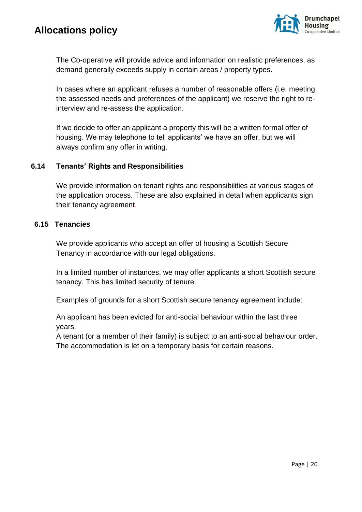

The Co-operative will provide advice and information on realistic preferences, as demand generally exceeds supply in certain areas / property types.

In cases where an applicant refuses a number of reasonable offers (i.e. meeting the assessed needs and preferences of the applicant) we reserve the right to reinterview and re-assess the application.

If we decide to offer an applicant a property this will be a written formal offer of housing. We may telephone to tell applicants' we have an offer, but we will always confirm any offer in writing.

### **6.14 Tenants' Rights and Responsibilities**

We provide information on tenant rights and responsibilities at various stages of the application process. These are also explained in detail when applicants sign their tenancy agreement.

#### **6.15 Tenancies**

We provide applicants who accept an offer of housing a Scottish Secure Tenancy in accordance with our legal obligations.

In a limited number of instances, we may offer applicants a short Scottish secure tenancy. This has limited security of tenure.

Examples of grounds for a short Scottish secure tenancy agreement include:

An applicant has been evicted for anti-social behaviour within the last three years.

A tenant (or a member of their family) is subject to an anti-social behaviour order. The accommodation is let on a temporary basis for certain reasons.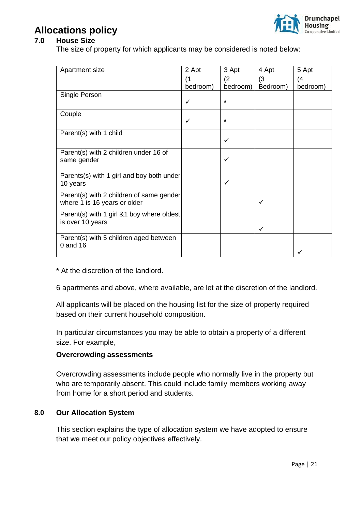

### **7.0 House Size**

The size of property for which applicants may be considered is noted below:

| Apartment size                                        | 2 Apt        | 3 Apt        | 4 Apt    | 5 Apt    |
|-------------------------------------------------------|--------------|--------------|----------|----------|
|                                                       | (1           | (2)          | (3)      | (4)      |
|                                                       | bedroom)     | bedroom)     | Bedroom) | bedroom) |
| Single Person                                         |              |              |          |          |
|                                                       | ✓            | $\star$      |          |          |
| Couple                                                |              |              |          |          |
|                                                       | $\checkmark$ | $\star$      |          |          |
| Parent(s) with 1 child                                |              |              |          |          |
|                                                       |              | ✓            |          |          |
| Parent(s) with 2 children under 16 of                 |              |              |          |          |
| same gender                                           |              | $\checkmark$ |          |          |
|                                                       |              |              |          |          |
| Parents(s) with 1 girl and boy both under<br>10 years |              | $\checkmark$ |          |          |
|                                                       |              |              |          |          |
| Parent(s) with 2 children of same gender              |              |              |          |          |
| where 1 is 16 years or older                          |              |              | ✓        |          |
| Parent(s) with 1 girl &1 boy where oldest             |              |              |          |          |
| is over 10 years                                      |              |              |          |          |
|                                                       |              |              | ✓        |          |
| Parent(s) with 5 children aged between<br>0 and 16    |              |              |          |          |
|                                                       |              |              |          |          |
|                                                       |              |              |          |          |

**\*** At the discretion of the landlord.

6 apartments and above, where available, are let at the discretion of the landlord.

All applicants will be placed on the housing list for the size of property required based on their current household composition.

In particular circumstances you may be able to obtain a property of a different size. For example,

### **Overcrowding assessments**

Overcrowding assessments include people who normally live in the property but who are temporarily absent. This could include family members working away from home for a short period and students.

### **8.0 Our Allocation System**

This section explains the type of allocation system we have adopted to ensure that we meet our policy objectives effectively.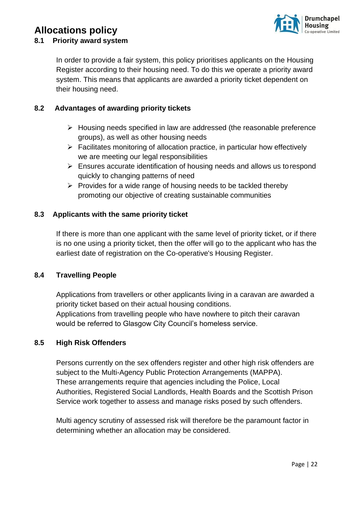

### **8.1 Priority award system**

In order to provide a fair system, this policy prioritises applicants on the Housing Register according to their housing need. To do this we operate a priority award system. This means that applicants are awarded a priority ticket dependent on their housing need.

### **8.2 Advantages of awarding priority tickets**

- ➢ Housing needs specified in law are addressed (the reasonable preference groups), as well as other housing needs
- $\triangleright$  Facilitates monitoring of allocation practice, in particular how effectively we are meeting our legal responsibilities
- ➢ Ensures accurate identification of housing needs and allows us torespond quickly to changing patterns of need
- $\triangleright$  Provides for a wide range of housing needs to be tackled thereby promoting our objective of creating sustainable communities

### **8.3 Applicants with the same priority ticket**

If there is more than one applicant with the same level of priority ticket, or if there is no one using a priority ticket, then the offer will go to the applicant who has the earliest date of registration on the Co-operative's Housing Register.

### **8.4 Travelling People**

Applications from travellers or other applicants living in a caravan are awarded a priority ticket based on their actual housing conditions. Applications from travelling people who have nowhere to pitch their caravan would be referred to Glasgow City Council's homeless service.

### **8.5 High Risk Offenders**

Persons currently on the sex offenders register and other high risk offenders are subject to the Multi-Agency Public Protection Arrangements (MAPPA). These arrangements require that agencies including the Police, Local Authorities, Registered Social Landlords, Health Boards and the Scottish Prison Service work together to assess and manage risks posed by such offenders.

Multi agency scrutiny of assessed risk will therefore be the paramount factor in determining whether an allocation may be considered.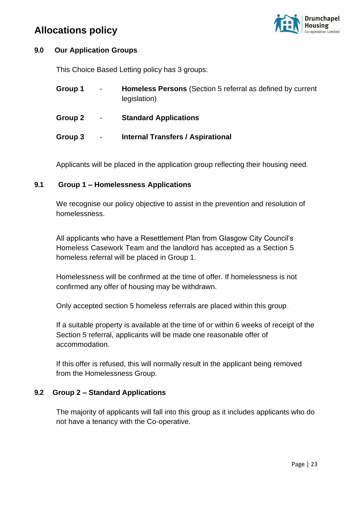

### **9.0 Our Application Groups**

This Choice Based Letting policy has 3 groups:

| Group 1 | $\blacksquare$               | <b>Homeless Persons</b> (Section 5 referral as defined by current<br>legislation) |
|---------|------------------------------|-----------------------------------------------------------------------------------|
| Group 2 | $\blacksquare$               | <b>Standard Applications</b>                                                      |
| Group 3 | $\qquad \qquad \blacksquare$ | <b>Internal Transfers / Aspirational</b>                                          |

Applicants will be placed in the application group reflecting their housing need.

### **9.1 Group 1 – Homelessness Applications**

We recognise our policy objective to assist in the prevention and resolution of homelessness.

All applicants who have a Resettlement Plan from Glasgow City Council's Homeless Casework Team and the landlord has accepted as a Section 5 homeless referral will be placed in Group 1.

Homelessness will be confirmed at the time of offer. If homelessness is not confirmed any offer of housing may be withdrawn.

Only accepted section 5 homeless referrals are placed within this group.

If a suitable property is available at the time of or within 6 weeks of receipt of the Section 5 referral, applicants will be made one reasonable offer of accommodation.

If this offer is refused, this will normally result in the applicant being removed from the Homelessness Group.

### **9.2 Group 2 – Standard Applications**

The majority of applicants will fall into this group as it includes applicants who do not have a tenancy with the Co-operative.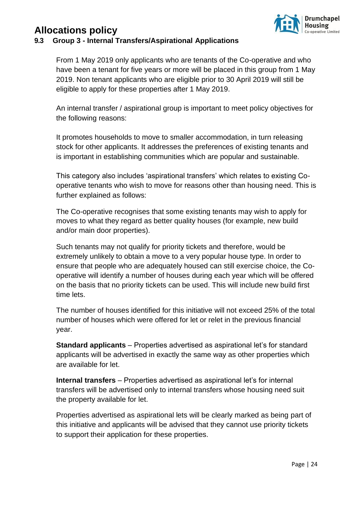

### **9.3 Group 3 - Internal Transfers/Aspirational Applications**

From 1 May 2019 only applicants who are tenants of the Co-operative and who have been a tenant for five years or more will be placed in this group from 1 May 2019. Non tenant applicants who are eligible prior to 30 April 2019 will still be eligible to apply for these properties after 1 May 2019.

An internal transfer / aspirational group is important to meet policy objectives for the following reasons:

It promotes households to move to smaller accommodation, in turn releasing stock for other applicants. It addresses the preferences of existing tenants and is important in establishing communities which are popular and sustainable.

This category also includes 'aspirational transfers' which relates to existing Cooperative tenants who wish to move for reasons other than housing need. This is further explained as follows:

The Co-operative recognises that some existing tenants may wish to apply for moves to what they regard as better quality houses (for example, new build and/or main door properties).

Such tenants may not qualify for priority tickets and therefore, would be extremely unlikely to obtain a move to a very popular house type. In order to ensure that people who are adequately housed can still exercise choice, the Cooperative will identify a number of houses during each year which will be offered on the basis that no priority tickets can be used. This will include new build first time lets.

The number of houses identified for this initiative will not exceed 25% of the total number of houses which were offered for let or relet in the previous financial year.

**Standard applicants** – Properties advertised as aspirational let's for standard applicants will be advertised in exactly the same way as other properties which are available for let.

**Internal transfers** – Properties advertised as aspirational let's for internal transfers will be advertised only to internal transfers whose housing need suit the property available for let.

Properties advertised as aspirational lets will be clearly marked as being part of this initiative and applicants will be advised that they cannot use priority tickets to support their application for these properties.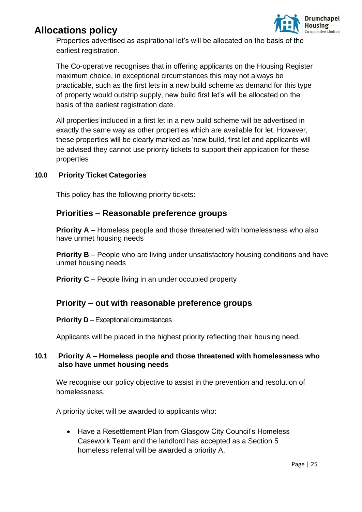

Properties advertised as aspirational let's will be allocated on the basis of the earliest registration.

The Co-operative recognises that in offering applicants on the Housing Register maximum choice, in exceptional circumstances this may not always be practicable, such as the first lets in a new build scheme as demand for this type of property would outstrip supply, new build first let's will be allocated on the basis of the earliest registration date.

All properties included in a first let in a new build scheme will be advertised in exactly the same way as other properties which are available for let. However, these properties will be clearly marked as 'new build, first let and applicants will be advised they cannot use priority tickets to support their application for these properties

### **10.0 Priority Ticket Categories**

This policy has the following priority tickets:

### **Priorities – Reasonable preference groups**

**Priority A** – Homeless people and those threatened with homelessness who also have unmet housing needs

**Priority B** – People who are living under unsatisfactory housing conditions and have unmet housing needs

**Priority C** – People living in an under occupied property

### **Priority – out with reasonable preference groups**

#### **Priority D** – Exceptional circumstances

Applicants will be placed in the highest priority reflecting their housing need.

### **10.1 Priority A – Homeless people and those threatened with homelessness who also have unmet housing needs**

We recognise our policy objective to assist in the prevention and resolution of homelessness.

A priority ticket will be awarded to applicants who:

• Have a Resettlement Plan from Glasgow City Council's Homeless Casework Team and the landlord has accepted as a Section 5 homeless referral will be awarded a priority A.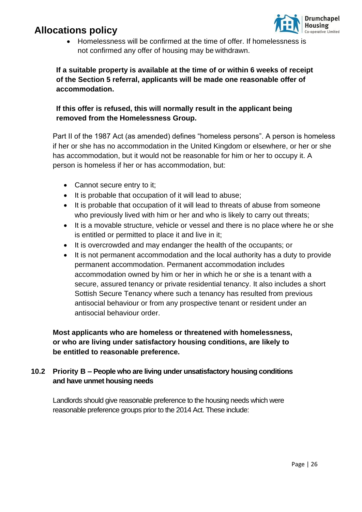

• Homelessness will be confirmed at the time of offer. If homelessness is not confirmed any offer of housing may be withdrawn.

### **If a suitable property is available at the time of or within 6 weeks of receipt of the Section 5 referral, applicants will be made one reasonable offer of accommodation.**

### **If this offer is refused, this will normally result in the applicant being removed from the Homelessness Group.**

Part II of the 1987 Act (as amended) defines "homeless persons". A person is homeless if her or she has no accommodation in the United Kingdom or elsewhere, or her or she has accommodation, but it would not be reasonable for him or her to occupy it. A person is homeless if her or has accommodation, but:

- Cannot secure entry to it;
- It is probable that occupation of it will lead to abuse;
- It is probable that occupation of it will lead to threats of abuse from someone who previously lived with him or her and who is likely to carry out threats;
- It is a movable structure, vehicle or vessel and there is no place where he or she is entitled or permitted to place it and live in it;
- It is overcrowded and may endanger the health of the occupants; or
- It is not permanent accommodation and the local authority has a duty to provide permanent accommodation. Permanent accommodation includes accommodation owned by him or her in which he or she is a tenant with a secure, assured tenancy or private residential tenancy. It also includes a short Sottish Secure Tenancy where such a tenancy has resulted from previous antisocial behaviour or from any prospective tenant or resident under an antisocial behaviour order.

**Most applicants who are homeless or threatened with homelessness, or who are living under satisfactory housing conditions, are likely to be entitled to reasonable preference.**

### **10.2 Priority B – People who are living under unsatisfactory housing conditions and have unmet housing needs**

Landlords should give reasonable preference to the housing needs which were reasonable preference groups prior to the 2014 Act. These include: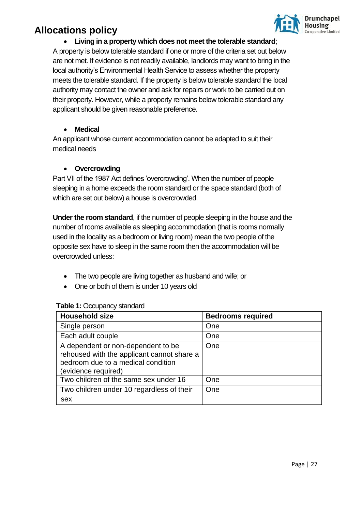

### • **Living in a property which does not meet the tolerable standard**;

A property is below tolerable standard if one or more of the criteria set out below are not met. If evidence is not readily available, landlords may want to bring in the local authority's Environmental Health Service to assess whether the property meets the tolerable standard. If the property is below tolerable standard the local authority may contact the owner and ask for repairs or work to be carried out on their property. However, while a property remains below tolerable standard any applicant should be given reasonable preference.

### • **Medical**

An applicant whose current accommodation cannot be adapted to suit their medical needs

#### • **Overcrowding**

Part VII of the 1987 Act defines 'overcrowding'. When the number of people sleeping in a home exceeds the room standard or the space standard (both of which are set out below) a house is overcrowded.

**Under the room standard**, if the number of people sleeping in the house and the number of rooms available as sleeping accommodation (that is rooms normally used in the locality as a bedroom or living room) mean the two people of the opposite sex have to sleep in the same room then the accommodation will be overcrowded unless:

- The two people are living together as husband and wife; or
- One or both of them is under 10 years old

| <b>Household size</b>                                                                                                                         | <b>Bedrooms required</b> |
|-----------------------------------------------------------------------------------------------------------------------------------------------|--------------------------|
| Single person                                                                                                                                 | One                      |
| Each adult couple                                                                                                                             | One                      |
| A dependent or non-dependent to be<br>rehoused with the applicant cannot share a<br>bedroom due to a medical condition<br>(evidence required) | One                      |
| Two children of the same sex under 16                                                                                                         | One                      |
| Two children under 10 regardless of their<br>sex                                                                                              | One                      |

#### **Table 1:** Occupancy standard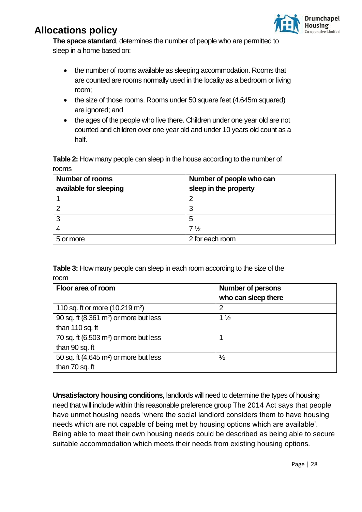

**The space standard**, determines the number of people who are permitted to sleep in a home based on:

- the number of rooms available as sleeping accommodation. Rooms that are counted are rooms normally used in the locality as a bedroom or living room;
- the size of those rooms. Rooms under 50 square feet (4.645m squared) are ignored; and
- the ages of the people who live there. Children under one year old are not counted and children over one year old and under 10 years old count as a half.

**Table 2:** How many people can sleep in the house according to the number of rooms

| <b>Number of rooms</b> | Number of people who can |
|------------------------|--------------------------|
| available for sleeping | sleep in the property    |
|                        | 2                        |
| $\overline{2}$         | 3                        |
| 3                      | 5                        |
|                        | $7\frac{1}{2}$           |
| 5 or more              | 2 for each room          |

**Table 3:** How many people can sleep in each room according to the size of the room

| Floor area of room                                 | <b>Number of persons</b><br>who can sleep there |  |
|----------------------------------------------------|-------------------------------------------------|--|
|                                                    |                                                 |  |
| 110 sq. ft or more (10.219 m <sup>2</sup> )        | 2                                               |  |
| 90 sq. ft (8.361 m <sup>2</sup> ) or more but less | $1\frac{1}{2}$                                  |  |
| than 110 sq. ft                                    |                                                 |  |
| 70 sq. ft (6.503 m <sup>2</sup> ) or more but less |                                                 |  |
| than 90 sq. ft                                     |                                                 |  |
| 50 sq. ft (4.645 m <sup>2</sup> ) or more but less | $\frac{1}{2}$                                   |  |
| than 70 sq. ft                                     |                                                 |  |

**Unsatisfactory housing conditions**, landlords will need to determine the types of housing need that will include within this reasonable preference group The 2014 Act says that people have unmet housing needs 'where the social landlord considers them to have housing needs which are not capable of being met by housing options which are available'. Being able to meet their own housing needs could be described as being able to secure suitable accommodation which meets their needs from existing housing options.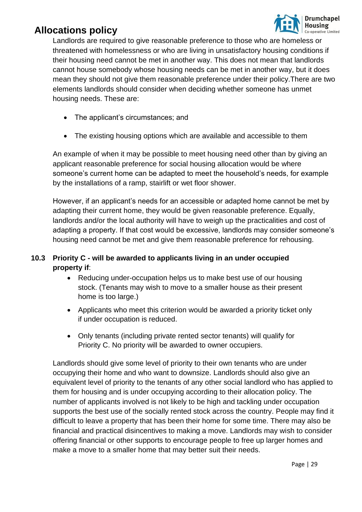

Landlords are required to give reasonable preference to those who are homeless or threatened with homelessness or who are living in unsatisfactory housing conditions if their housing need cannot be met in another way. This does not mean that landlords cannot house somebody whose housing needs can be met in another way, but it does mean they should not give them reasonable preference under their policy.There are two elements landlords should consider when deciding whether someone has unmet housing needs. These are:

- The applicant's circumstances; and
- The existing housing options which are available and accessible to them

An example of when it may be possible to meet housing need other than by giving an applicant reasonable preference for social housing allocation would be where someone's current home can be adapted to meet the household's needs, for example by the installations of a ramp, stairlift or wet floor shower.

However, if an applicant's needs for an accessible or adapted home cannot be met by adapting their current home, they would be given reasonable preference. Equally, landlords and/or the local authority will have to weigh up the practicalities and cost of adapting a property. If that cost would be excessive, landlords may consider someone's housing need cannot be met and give them reasonable preference for rehousing.

### **10.3 Priority C - will be awarded to applicants living in an under occupied property if**:

- Reducing under-occupation helps us to make best use of our housing stock. (Tenants may wish to move to a smaller house as their present home is too large.)
- Applicants who meet this criterion would be awarded a priority ticket only if under occupation is reduced.
- Only tenants (including private rented sector tenants) will qualify for Priority C. No priority will be awarded to owner occupiers.

Landlords should give some level of priority to their own tenants who are under occupying their home and who want to downsize. Landlords should also give an equivalent level of priority to the tenants of any other social landlord who has applied to them for housing and is under occupying according to their allocation policy. The number of applicants involved is not likely to be high and tackling under occupation supports the best use of the socially rented stock across the country. People may find it difficult to leave a property that has been their home for some time. There may also be financial and practical disincentives to making a move. Landlords may wish to consider offering financial or other supports to encourage people to free up larger homes and make a move to a smaller home that may better suit their needs.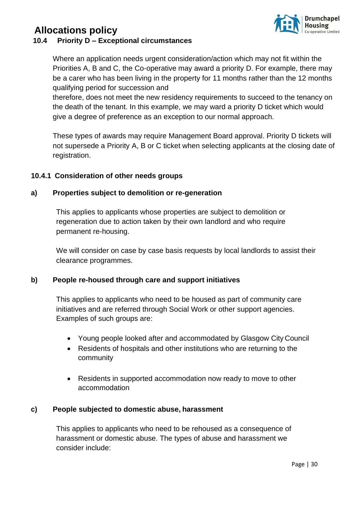

### **10.4 Priority D – Exceptional circumstances**

Where an application needs urgent consideration/action which may not fit within the Priorities A, B and C, the Co-operative may award a priority D. For example, there may be a carer who has been living in the property for 11 months rather than the 12 months qualifying period for succession and

therefore, does not meet the new residency requirements to succeed to the tenancy on the death of the tenant. In this example, we may ward a priority D ticket which would give a degree of preference as an exception to our normal approach.

These types of awards may require Management Board approval. Priority D tickets will not supersede a Priority A, B or C ticket when selecting applicants at the closing date of registration.

### **10.4.1 Consideration of other needs groups**

### **a) Properties subject to demolition or re-generation**

This applies to applicants whose properties are subject to demolition or regeneration due to action taken by their own landlord and who require permanent re-housing.

We will consider on case by case basis requests by local landlords to assist their clearance programmes.

### **b) People re-housed through care and support initiatives**

This applies to applicants who need to be housed as part of community care initiatives and are referred through Social Work or other support agencies. Examples of such groups are:

- Young people looked after and accommodated by Glasgow City Council
- Residents of hospitals and other institutions who are returning to the community
- Residents in supported accommodation now ready to move to other accommodation

### **c) People subjected to domestic abuse, harassment**

This applies to applicants who need to be rehoused as a consequence of harassment or domestic abuse. The types of abuse and harassment we consider include: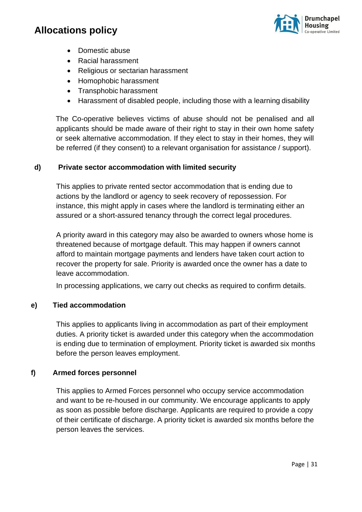

- Domestic abuse
- Racial harassment
- Religious or sectarian harassment
- Homophobic harassment
- Transphobic harassment
- Harassment of disabled people, including those with a learning disability

The Co-operative believes victims of abuse should not be penalised and all applicants should be made aware of their right to stay in their own home safety or seek alternative accommodation. If they elect to stay in their homes, they will be referred (if they consent) to a relevant organisation for assistance / support).

### **d) Private sector accommodation with limited security**

This applies to private rented sector accommodation that is ending due to actions by the landlord or agency to seek recovery of repossession. For instance, this might apply in cases where the landlord is terminating either an assured or a short-assured tenancy through the correct legal procedures.

A priority award in this category may also be awarded to owners whose home is threatened because of mortgage default. This may happen if owners cannot afford to maintain mortgage payments and lenders have taken court action to recover the property for sale. Priority is awarded once the owner has a date to leave accommodation.

In processing applications, we carry out checks as required to confirm details.

#### **e) Tied accommodation**

This applies to applicants living in accommodation as part of their employment duties. A priority ticket is awarded under this category when the accommodation is ending due to termination of employment. Priority ticket is awarded six months before the person leaves employment.

#### **f) Armed forces personnel**

This applies to Armed Forces personnel who occupy service accommodation and want to be re-housed in our community. We encourage applicants to apply as soon as possible before discharge. Applicants are required to provide a copy of their certificate of discharge. A priority ticket is awarded six months before the person leaves the services.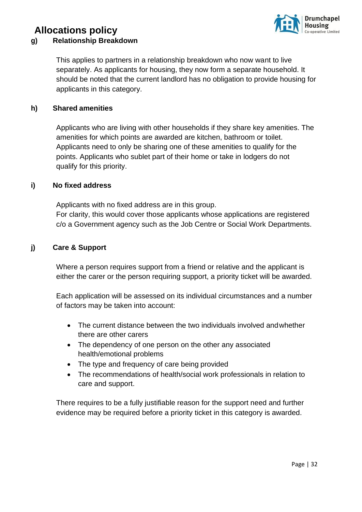### **Allocations policy g) Relationship Breakdown**



This applies to partners in a relationship breakdown who now want to live separately. As applicants for housing, they now form a separate household. It should be noted that the current landlord has no obligation to provide housing for applicants in this category.

### **h) Shared amenities**

Applicants who are living with other households if they share key amenities. The amenities for which points are awarded are kitchen, bathroom or toilet. Applicants need to only be sharing one of these amenities to qualify for the points. Applicants who sublet part of their home or take in lodgers do not qualify for this priority.

#### **i) No fixed address**

Applicants with no fixed address are in this group. For clarity, this would cover those applicants whose applications are registered c/o a Government agency such as the Job Centre or Social Work Departments.

### **j) Care & Support**

Where a person requires support from a friend or relative and the applicant is either the carer or the person requiring support, a priority ticket will be awarded.

Each application will be assessed on its individual circumstances and a number of factors may be taken into account:

- The current distance between the two individuals involved andwhether there are other carers
- The dependency of one person on the other any associated health/emotional problems
- The type and frequency of care being provided
- The recommendations of health/social work professionals in relation to care and support.

There requires to be a fully justifiable reason for the support need and further evidence may be required before a priority ticket in this category is awarded.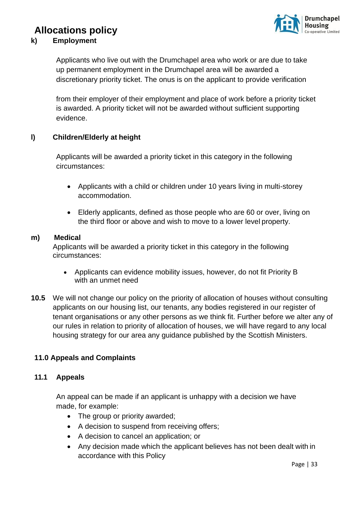# **Irumchapel**

### **Allocations policy**

### **k) Employment**

Applicants who live out with the Drumchapel area who work or are due to take up permanent employment in the Drumchapel area will be awarded a discretionary priority ticket. The onus is on the applicant to provide verification

from their employer of their employment and place of work before a priority ticket is awarded. A priority ticket will not be awarded without sufficient supporting evidence.

### **l) Children/Elderly at height**

Applicants will be awarded a priority ticket in this category in the following circumstances:

- Applicants with a child or children under 10 years living in multi-storey accommodation.
- Elderly applicants, defined as those people who are 60 or over, living on the third floor or above and wish to move to a lower level property.

### **m) Medical**

Applicants will be awarded a priority ticket in this category in the following circumstances:

- Applicants can evidence mobility issues, however, do not fit Priority B with an unmet need
- **10.5** We will not change our policy on the priority of allocation of houses without consulting applicants on our housing list, our tenants, any bodies registered in our register of tenant organisations or any other persons as we think fit. Further before we alter any of our rules in relation to priority of allocation of houses, we will have regard to any local housing strategy for our area any guidance published by the Scottish Ministers.

### **11.0 Appeals and Complaints**

### **11.1 Appeals**

An appeal can be made if an applicant is unhappy with a decision we have made, for example:

- The group or priority awarded;
- A decision to suspend from receiving offers;
- A decision to cancel an application; or
- Any decision made which the applicant believes has not been dealt with in accordance with this Policy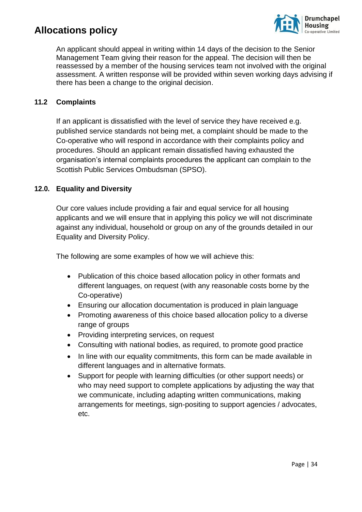

An applicant should appeal in writing within 14 days of the decision to the Senior Management Team giving their reason for the appeal. The decision will then be reassessed by a member of the housing services team not involved with the original assessment. A written response will be provided within seven working days advising if there has been a change to the original decision.

### **11.2 Complaints**

If an applicant is dissatisfied with the level of service they have received e.g. published service standards not being met, a complaint should be made to the Co-operative who will respond in accordance with their complaints policy and procedures. Should an applicant remain dissatisfied having exhausted the organisation's internal complaints procedures the applicant can complain to the Scottish Public Services Ombudsman (SPSO).

### **12.0. Equality and Diversity**

Our core values include providing a fair and equal service for all housing applicants and we will ensure that in applying this policy we will not discriminate against any individual, household or group on any of the grounds detailed in our Equality and Diversity Policy.

The following are some examples of how we will achieve this:

- Publication of this choice based allocation policy in other formats and different languages, on request (with any reasonable costs borne by the Co-operative)
- Ensuring our allocation documentation is produced in plain language
- Promoting awareness of this choice based allocation policy to a diverse range of groups
- Providing interpreting services, on request
- Consulting with national bodies, as required, to promote good practice
- In line with our equality commitments, this form can be made available in different languages and in alternative formats.
- Support for people with learning difficulties (or other support needs) or who may need support to complete applications by adjusting the way that we communicate, including adapting written communications, making arrangements for meetings, sign-positing to support agencies / advocates, etc.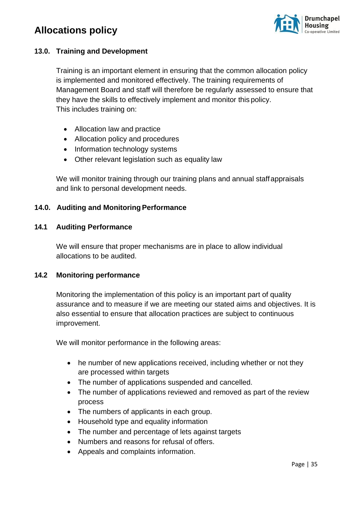

### **13.0. Training and Development**

Training is an important element in ensuring that the common allocation policy is implemented and monitored effectively. The training requirements of Management Board and staff will therefore be regularly assessed to ensure that they have the skills to effectively implement and monitor this policy. This includes training on:

- Allocation law and practice
- Allocation policy and procedures
- Information technology systems
- Other relevant legislation such as equality law

We will monitor training through our training plans and annual staff appraisals and link to personal development needs.

### **14.0. Auditing and Monitoring Performance**

#### **14.1 Auditing Performance**

We will ensure that proper mechanisms are in place to allow individual allocations to be audited.

#### **14.2 Monitoring performance**

Monitoring the implementation of this policy is an important part of quality assurance and to measure if we are meeting our stated aims and objectives. It is also essential to ensure that allocation practices are subject to continuous improvement.

We will monitor performance in the following areas:

- he number of new applications received, including whether or not they are processed within targets
- The number of applications suspended and cancelled.
- The number of applications reviewed and removed as part of the review process
- The numbers of applicants in each group.
- Household type and equality information
- The number and percentage of lets against targets
- Numbers and reasons for refusal of offers.
- Appeals and complaints information.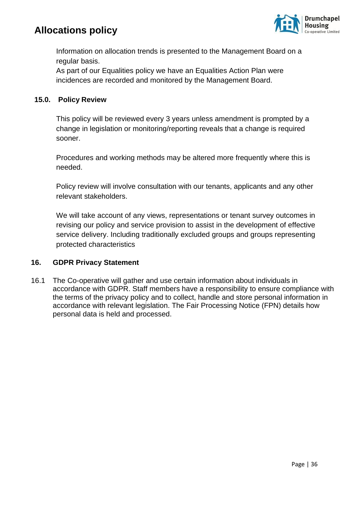

Information on allocation trends is presented to the Management Board on a regular basis.

As part of our Equalities policy we have an Equalities Action Plan were incidences are recorded and monitored by the Management Board.

### **15.0. Policy Review**

This policy will be reviewed every 3 years unless amendment is prompted by a change in legislation or monitoring/reporting reveals that a change is required sooner.

Procedures and working methods may be altered more frequently where this is needed.

Policy review will involve consultation with our tenants, applicants and any other relevant stakeholders.

We will take account of any views, representations or tenant survey outcomes in revising our policy and service provision to assist in the development of effective service delivery. Including traditionally excluded groups and groups representing protected characteristics

### **16. GDPR Privacy Statement**

16.1 The Co-operative will gather and use certain information about individuals in accordance with GDPR. Staff members have a responsibility to ensure compliance with the terms of the privacy policy and to collect, handle and store personal information in accordance with relevant legislation. The Fair Processing Notice (FPN) details how personal data is held and processed.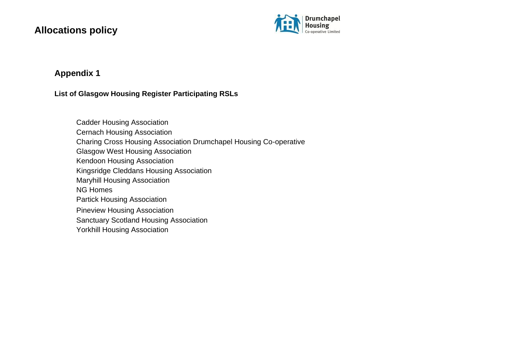

### **Appendix 1**

### **List of Glasgow Housing Register Participating RSLs**

Cadder Housing Association Cernach Housing Association Charing Cross Housing Association Drumchapel Housing Co-operative Glasgow West Housing Association Kendoon Housing Association Kingsridge Cleddans Housing Association Maryhill Housing Association NG Homes Partick Housing Association Pineview Housing Association Sanctuary Scotland Housing Association Yorkhill Housing Association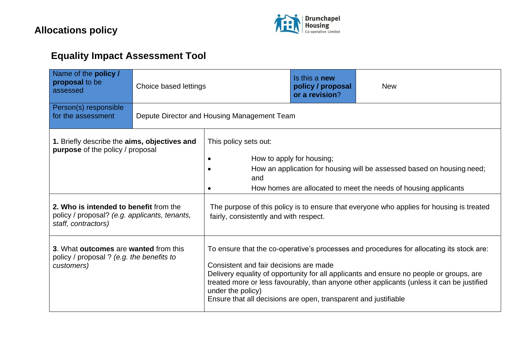

# **Equality Impact Assessment Tool**

| Name of the policy /<br>proposal to be<br>assessed                                                                                                                                 | Choice based lettings |                                                                                                                                                                                                                                                                                                                                                                                                                    | Is this a <b>new</b><br>policy / proposal<br>or a revision? | <b>New</b> |
|------------------------------------------------------------------------------------------------------------------------------------------------------------------------------------|-----------------------|--------------------------------------------------------------------------------------------------------------------------------------------------------------------------------------------------------------------------------------------------------------------------------------------------------------------------------------------------------------------------------------------------------------------|-------------------------------------------------------------|------------|
| Person(s) responsible<br>for the assessment                                                                                                                                        |                       | Depute Director and Housing Management Team                                                                                                                                                                                                                                                                                                                                                                        |                                                             |            |
| 1. Briefly describe the aims, objectives and<br><b>purpose</b> of the policy / proposal<br>2. Who is intended to benefit from the<br>policy / proposal? (e.g. applicants, tenants, |                       | This policy sets out:<br>How to apply for housing;<br>How an application for housing will be assessed based on housing need;<br>and<br>How homes are allocated to meet the needs of housing applicants<br>The purpose of this policy is to ensure that everyone who applies for housing is treated<br>fairly, consistently and with respect.                                                                       |                                                             |            |
| staff, contractors)<br>3. What outcomes are wanted from this<br>policy / proposal ? (e.g. the benefits to<br>customers)                                                            |                       | To ensure that the co-operative's processes and procedures for allocating its stock are:<br>Consistent and fair decisions are made<br>Delivery equality of opportunity for all applicants and ensure no people or groups, are<br>treated more or less favourably, than anyone other applicants (unless it can be justified<br>under the policy)<br>Ensure that all decisions are open, transparent and justifiable |                                                             |            |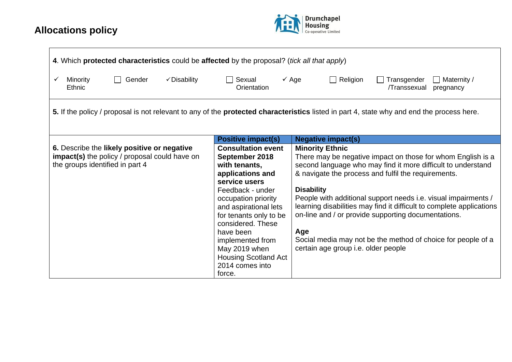

| 4. Which protected characteristics could be affected by the proposal? (tick all that apply)                                                      |                                                                                                                                                                                                                                   |                                                                                                                                                                                                                                                                                                                                                                                                                                           |
|--------------------------------------------------------------------------------------------------------------------------------------------------|-----------------------------------------------------------------------------------------------------------------------------------------------------------------------------------------------------------------------------------|-------------------------------------------------------------------------------------------------------------------------------------------------------------------------------------------------------------------------------------------------------------------------------------------------------------------------------------------------------------------------------------------------------------------------------------------|
| Gender<br>Minority<br>✓ Disability<br>Ethnic                                                                                                     | Sexual<br>Orientation                                                                                                                                                                                                             | $\checkmark$ Age<br>Religion<br>$\Box$ Maternity /<br>Transgender<br>/Transsexual<br>pregnancy                                                                                                                                                                                                                                                                                                                                            |
| 5. If the policy / proposal is not relevant to any of the <b>protected characteristics</b> listed in part 4, state why and end the process here. |                                                                                                                                                                                                                                   |                                                                                                                                                                                                                                                                                                                                                                                                                                           |
|                                                                                                                                                  | <b>Positive impact(s)</b>                                                                                                                                                                                                         | <b>Negative impact(s)</b>                                                                                                                                                                                                                                                                                                                                                                                                                 |
| 6. Describe the likely positive or negative<br>impact(s) the policy / proposal could have on<br>the groups identified in part 4                  | <b>Consultation event</b><br>September 2018<br>with tenants,<br>applications and<br>service users<br>Feedback - under<br>occupation priority<br>and aspirational lets<br>for tenants only to be<br>considered. These<br>have been | <b>Minority Ethnic</b><br>There may be negative impact on those for whom English is a<br>second language who may find it more difficult to understand<br>& navigate the process and fulfil the requirements.<br><b>Disability</b><br>People with additional support needs i.e. visual impairments /<br>learning disabilities may find it difficult to complete applications<br>on-line and / or provide supporting documentations.<br>Age |
|                                                                                                                                                  | implemented from<br>May 2019 when<br><b>Housing Scotland Act</b><br>2014 comes into<br>force.                                                                                                                                     | Social media may not be the method of choice for people of a<br>certain age group i.e. older people                                                                                                                                                                                                                                                                                                                                       |